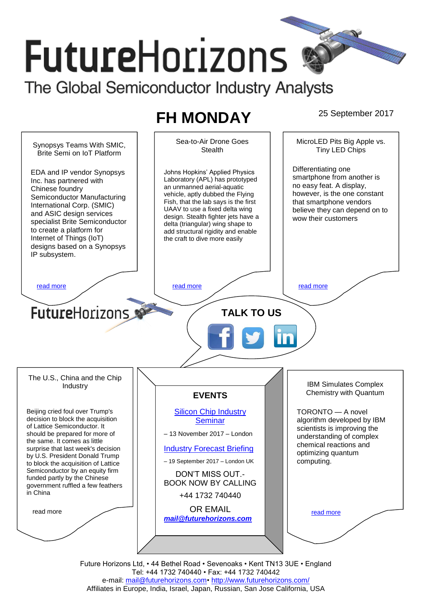# **FutureHorizons** The Global Semiconductor Industry Analysts

# **FH MONDAY** 25 September 2017

Sea-to-Air Drone Goes MicroLED Pits Big Apple vs. Synopsys Teams With SMIC, **Stealth** Tiny LED Chips Brite Semi on IoT Platform Differentiating one EDA and IP vendor Synopsys Johns Hopkins' Applied Physics smartphone from another is Laboratory (APL) has prototyped Inc. has partnered with no easy feat. A display, an unmanned aerial-aquatic Chinese foundry however, is the one constant vehicle, aptly dubbed the Flying Semiconductor Manufacturing that smartphone vendors Fish, that the lab says is the first International Corp. (SMIC) UAAV to use a fixed delta wing believe they can depend on to and ASIC design services design. Stealth fighter jets have a wow their customers specialist Brite Semiconductor delta (triangular) wing shape to to create a platform for add structural rigidity and enable Internet of Things (IoT) the craft to dive more easily designs based on a Synopsys IP subsystem. [read more](#page-1-1) that the second contract the second contract of the read more that the read more that the read more **Future**Horizons **TALK TO US** The U.S., China and the Chip IBM Simulates Complex Industry Chemistry with Quantum **EVENTS** Beijing cried foul over Trump's [Silicon Chip Industry](http://www.futurehorizons.com/page/12/silicon-chip-training)  TORONTO — A novel decision to block the acquisition algorithm developed by IBM **[Seminar](http://www.futurehorizons.com/page/12/silicon-chip-training)** of Lattice Semiconductor. It scientists is improving the should be prepared for more of – 13 November 2017 – London understanding of complex the same. It comes as little chemical reactions and surprise that last week's decision [Industry Forecast Briefing](http://www.futurehorizons.com/page/13/Semiconductor-Market-Forecast-Seminar) optimizing quantum by U.S. President Donald Trump – 19 September 2017 – London UK computing. to block the acquisition of Lattice Semiconductor by an equity firm DON'T MISS OUT. funded partly by the Chinese BOOK NOW BY CALLING government ruffled a few feathers in China+44 1732 740440 OR EMAIL read more [read more](#page-1-3) *[mail@futurehorizons.com](mailto:mail@futurehorizons.com)*

Future Horizons Ltd, • 44 Bethel Road • Sevenoaks • Kent TN13 3UE • England Tel: +44 1732 740440 • Fax: +44 1732 740442 e-mail: mail@futurehorizons.com• http://www.futurehorizons.com/ Affiliates in Europe, India, Israel, Japan, Russian, San Jose California, USA